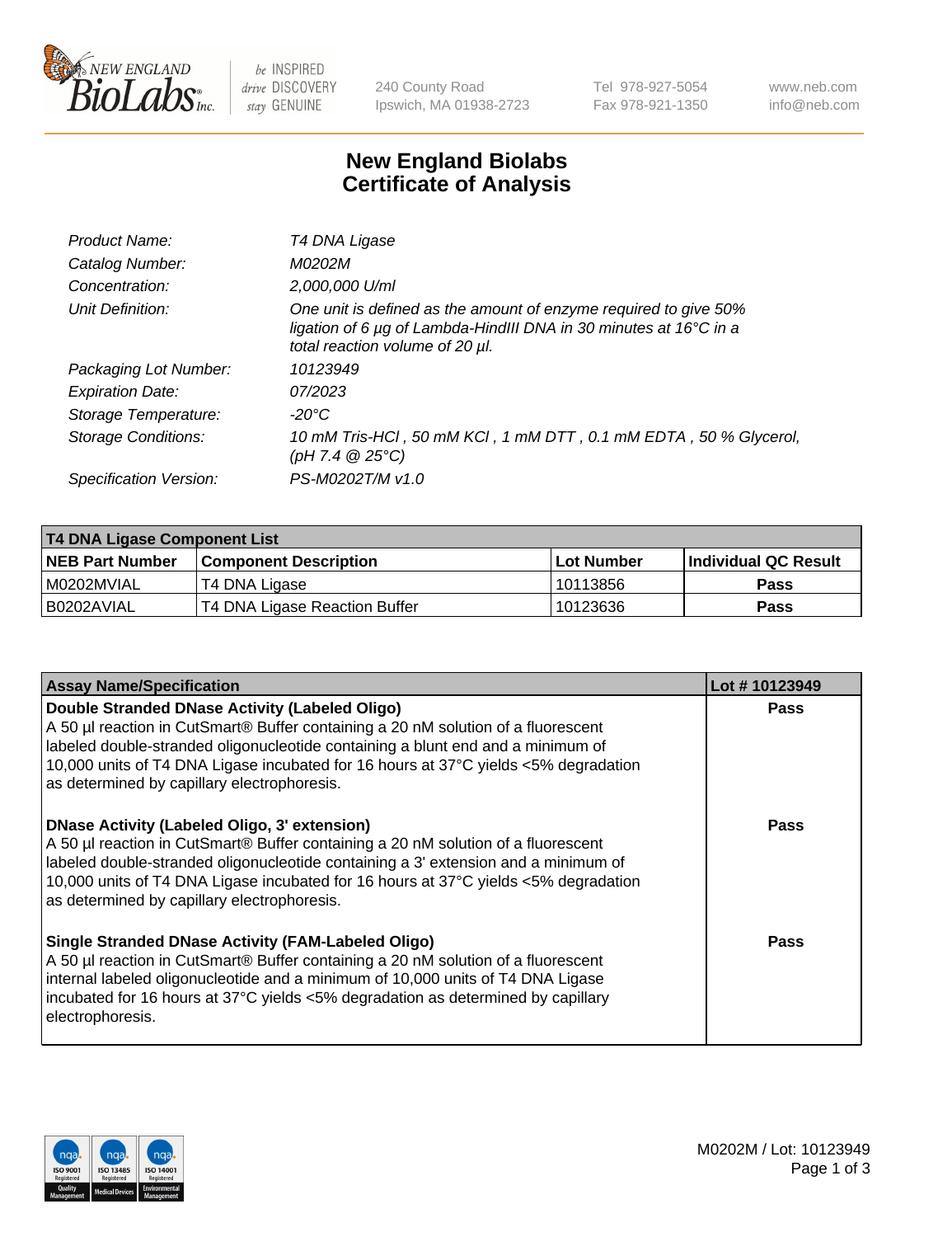

be INSPIRED drive DISCOVERY stay GENUINE

240 County Road Ipswich, MA 01938-2723 Tel 978-927-5054 Fax 978-921-1350 www.neb.com info@neb.com

## **New England Biolabs Certificate of Analysis**

| Product Name:              | T4 DNA Ligase                                                                                                                                                            |
|----------------------------|--------------------------------------------------------------------------------------------------------------------------------------------------------------------------|
| Catalog Number:            | M0202M                                                                                                                                                                   |
| Concentration:             | 2,000,000 U/ml                                                                                                                                                           |
| Unit Definition:           | One unit is defined as the amount of enzyme required to give 50%<br>ligation of 6 µg of Lambda-HindIII DNA in 30 minutes at 16°C in a<br>total reaction volume of 20 µl. |
| Packaging Lot Number:      | 10123949                                                                                                                                                                 |
| <b>Expiration Date:</b>    | 07/2023                                                                                                                                                                  |
| Storage Temperature:       | $-20^{\circ}$ C                                                                                                                                                          |
| <b>Storage Conditions:</b> | 10 mM Tris-HCl, 50 mM KCl, 1 mM DTT, 0.1 mM EDTA, 50 % Glycerol,<br>(pH 7.4 $@25°C$ )                                                                                    |
| Specification Version:     | PS-M0202T/M v1.0                                                                                                                                                         |

| T4 DNA Ligase Component List |                               |              |                             |  |  |
|------------------------------|-------------------------------|--------------|-----------------------------|--|--|
| <b>NEB Part Number</b>       | l Component Description       | l Lot Number | <b>Individual QC Result</b> |  |  |
| I M0202MVIAL                 | T4 DNA Ligase                 | 10113856     | <b>Pass</b>                 |  |  |
| I B0202AVIAL                 | T4 DNA Ligase Reaction Buffer | 10123636     | <b>Pass</b>                 |  |  |

| <b>Assay Name/Specification</b>                                                                                                                                                                                                                                                                                                                               | Lot #10123949 |
|---------------------------------------------------------------------------------------------------------------------------------------------------------------------------------------------------------------------------------------------------------------------------------------------------------------------------------------------------------------|---------------|
| Double Stranded DNase Activity (Labeled Oligo)<br>A 50 µl reaction in CutSmart® Buffer containing a 20 nM solution of a fluorescent<br>abeled double-stranded oligonucleotide containing a blunt end and a minimum of<br>10,000 units of T4 DNA Ligase incubated for 16 hours at 37°C yields <5% degradation<br>as determined by capillary electrophoresis.   | <b>Pass</b>   |
| DNase Activity (Labeled Oligo, 3' extension)<br>A 50 µl reaction in CutSmart® Buffer containing a 20 nM solution of a fluorescent<br>labeled double-stranded oligonucleotide containing a 3' extension and a minimum of<br>10,000 units of T4 DNA Ligase incubated for 16 hours at 37°C yields <5% degradation<br>as determined by capillary electrophoresis. | <b>Pass</b>   |
| <b>Single Stranded DNase Activity (FAM-Labeled Oligo)</b><br>A 50 µl reaction in CutSmart® Buffer containing a 20 nM solution of a fluorescent<br>internal labeled oligonucleotide and a minimum of 10,000 units of T4 DNA Ligase<br>incubated for 16 hours at 37 $\degree$ C yields <5% degradation as determined by capillary<br>electrophoresis.           | Pass          |

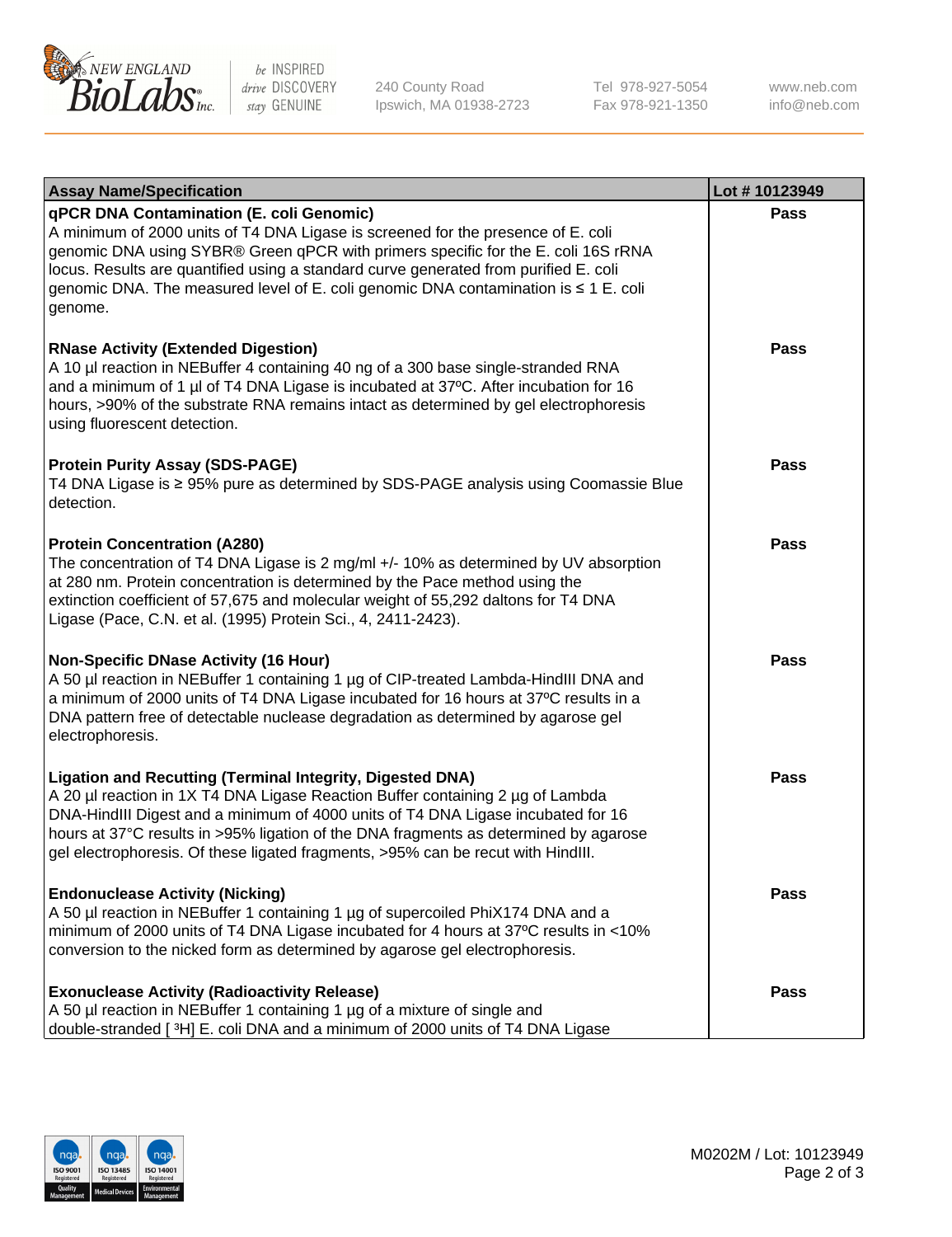

be INSPIRED drive DISCOVERY stay GENUINE

240 County Road Ipswich, MA 01938-2723 Tel 978-927-5054 Fax 978-921-1350

www.neb.com info@neb.com

| <b>Assay Name/Specification</b>                                                                                                                                                                                                                                                                                                                                                                                    | Lot #10123949 |
|--------------------------------------------------------------------------------------------------------------------------------------------------------------------------------------------------------------------------------------------------------------------------------------------------------------------------------------------------------------------------------------------------------------------|---------------|
| qPCR DNA Contamination (E. coli Genomic)<br>A minimum of 2000 units of T4 DNA Ligase is screened for the presence of E. coli<br>genomic DNA using SYBR® Green qPCR with primers specific for the E. coli 16S rRNA<br>locus. Results are quantified using a standard curve generated from purified E. coli<br>genomic DNA. The measured level of E. coli genomic DNA contamination is ≤ 1 E. coli<br>genome.        | <b>Pass</b>   |
| <b>RNase Activity (Extended Digestion)</b><br>A 10 µl reaction in NEBuffer 4 containing 40 ng of a 300 base single-stranded RNA<br>and a minimum of 1 µl of T4 DNA Ligase is incubated at 37°C. After incubation for 16<br>hours, >90% of the substrate RNA remains intact as determined by gel electrophoresis<br>using fluorescent detection.                                                                    | Pass          |
| <b>Protein Purity Assay (SDS-PAGE)</b><br>T4 DNA Ligase is ≥ 95% pure as determined by SDS-PAGE analysis using Coomassie Blue<br>detection.                                                                                                                                                                                                                                                                        | Pass          |
| <b>Protein Concentration (A280)</b><br>The concentration of T4 DNA Ligase is 2 mg/ml +/- 10% as determined by UV absorption<br>at 280 nm. Protein concentration is determined by the Pace method using the<br>extinction coefficient of 57,675 and molecular weight of 55,292 daltons for T4 DNA<br>Ligase (Pace, C.N. et al. (1995) Protein Sci., 4, 2411-2423).                                                  | Pass          |
| <b>Non-Specific DNase Activity (16 Hour)</b><br>A 50 µl reaction in NEBuffer 1 containing 1 µg of CIP-treated Lambda-HindIII DNA and<br>a minimum of 2000 units of T4 DNA Ligase incubated for 16 hours at 37°C results in a<br>DNA pattern free of detectable nuclease degradation as determined by agarose gel<br>electrophoresis.                                                                               | <b>Pass</b>   |
| <b>Ligation and Recutting (Terminal Integrity, Digested DNA)</b><br>A 20 µl reaction in 1X T4 DNA Ligase Reaction Buffer containing 2 µg of Lambda<br>DNA-HindIII Digest and a minimum of 4000 units of T4 DNA Ligase incubated for 16<br>hours at 37°C results in >95% ligation of the DNA fragments as determined by agarose<br>gel electrophoresis. Of these ligated fragments, >95% can be recut with HindIII. | Pass          |
| <b>Endonuclease Activity (Nicking)</b><br>A 50 µl reaction in NEBuffer 1 containing 1 µg of supercoiled PhiX174 DNA and a<br>minimum of 2000 units of T4 DNA Ligase incubated for 4 hours at 37°C results in <10%<br>conversion to the nicked form as determined by agarose gel electrophoresis.                                                                                                                   | Pass          |
| <b>Exonuclease Activity (Radioactivity Release)</b><br>A 50 µl reaction in NEBuffer 1 containing 1 µg of a mixture of single and<br>double-stranded [3H] E. coli DNA and a minimum of 2000 units of T4 DNA Ligase                                                                                                                                                                                                  | Pass          |